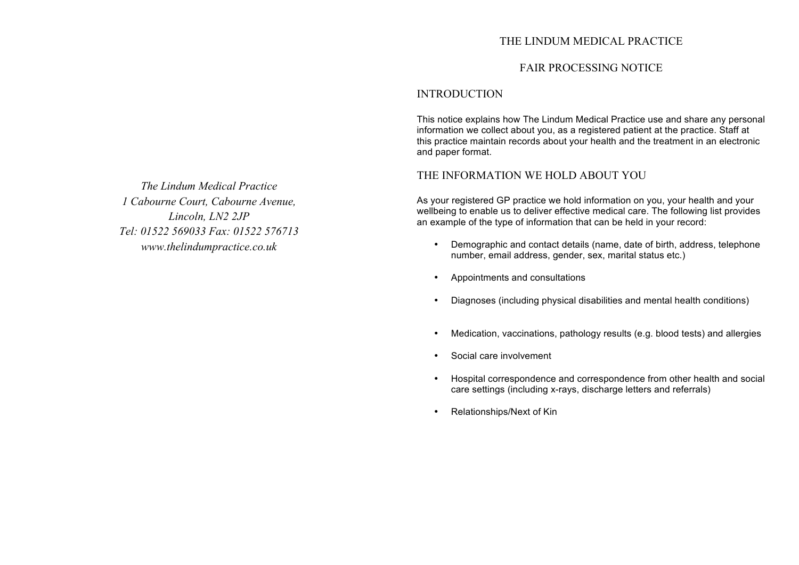## THE LINDUM MEDICAL PRACTICE

## FAIR PROCESSING NOTICE

## INTRODUCTION

This notice explains how The Lindum Medical Practice use and share any personal information we collect about you, as a registered patient at the practice. Staff at this practice maintain records about your health and the treatment in an electronic and paper format.

## THE INFORMATION WE HOLD ABOUT YOU

As your registered GP practice we hold information on you, your health and your wellbeing to enable us to deliver effective medical care. The following list provides an example of the type of information that can be held in your record:

- Demographic and contact details (name, date of birth, address, telephone number, email address, gender, sex, marital status etc.)
- Appointments and consultations
- Diagnoses (including physical disabilities and mental health conditions)
- Medication, vaccinations, pathology results (e.g. blood tests) and allergies
- Social care involvement
- Hospital correspondence and correspondence from other health and social care settings (including x-rays, discharge letters and referrals)
- Relationships/Next of Kin

*The Lindum Medical Practice 1 Cabourne Court, Cabourne Avenue, Lincoln, LN2 2JP Tel: 01522 569033 Fax: 01522 576713 www.thelindumpractice.co.uk*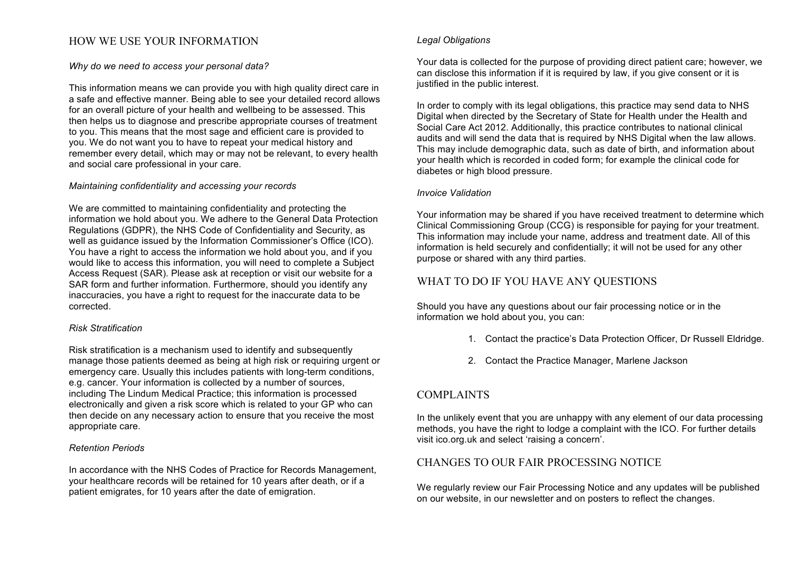# HOW WE USE YOUR INFORMATION

#### *Why do we need to access your personal data?*

This information means we can provide you with high quality direct care in a safe and effective manner. Being able to see your detailed record allows for an overall picture of your health and wellbeing to be assessed. This then helps us to diagnose and prescribe appropriate courses of treatment to you. This means that the most sage and efficient care is provided to you. We do not want you to have to repeat your medical history and remember every detail, which may or may not be relevant, to every health and social care professional in your care.

#### *Maintaining confidentiality and accessing your records*

We are committed to maintaining confidentiality and protecting the information we hold about you. We adhere to the General Data Protection Regulations (GDPR), the NHS Code of Confidentiality and Security, as well as guidance issued by the Information Commissioner's Office (ICO). You have a right to access the information we hold about you, and if you would like to access this information, you will need to complete a Subject Access Request (SAR). Please ask at reception or visit our website for a SAR form and further information. Furthermore, should you identify any inaccuracies, you have a right to request for the inaccurate data to be corrected.

#### *Risk Stratification*

Risk stratification is a mechanism used to identify and subsequently manage those patients deemed as being at high risk or requiring urgent or emergency care. Usually this includes patients with long-term conditions, e.g. cancer. Your information is collected by a number of sources, including The Lindum Medical Practice; this information is processed electronically and given a risk score which is related to your GP who can then decide on any necessary action to ensure that you receive the most appropriate care.

#### *Retention Periods*

In accordance with the NHS Codes of Practice for Records Management, your healthcare records will be retained for 10 years after death, or if a patient emigrates, for 10 years after the date of emigration.

#### *Legal Obligations*

Your data is collected for the purpose of providing direct patient care; however, we can disclose this information if it is required by law, if you give consent or it is justified in the public interest.

In order to comply with its legal obligations, this practice may send data to NHS Digital when directed by the Secretary of State for Health under the Health and Social Care Act 2012. Additionally, this practice contributes to national clinical audits and will send the data that is required by NHS Digital when the law allows. This may include demographic data, such as date of birth, and information about your health which is recorded in coded form; for example the clinical code for diabetes or high blood pressure.

#### *Invoice Validation*

Your information may be shared if you have received treatment to determine which Clinical Commissioning Group (CCG) is responsible for paying for your treatment. This information may include your name, address and treatment date. All of this information is held securely and confidentially; it will not be used for any other purpose or shared with any third parties.

## WHAT TO DO IF YOU HAVE ANY QUESTIONS

Should you have any questions about our fair processing notice or in the information we hold about you, you can:

- 1. Contact the practice's Data Protection Officer, Dr Russell Eldridge.
- 2. Contact the Practice Manager, Marlene Jackson

## COMPLAINTS

In the unlikely event that you are unhappy with any element of our data processing methods, you have the right to lodge a complaint with the ICO. For further details visit ico.org.uk and select 'raising a concern'.

## CHANGES TO OUR FAIR PROCESSING NOTICE

We regularly review our Fair Processing Notice and any updates will be published on our website, in our newsletter and on posters to reflect the changes.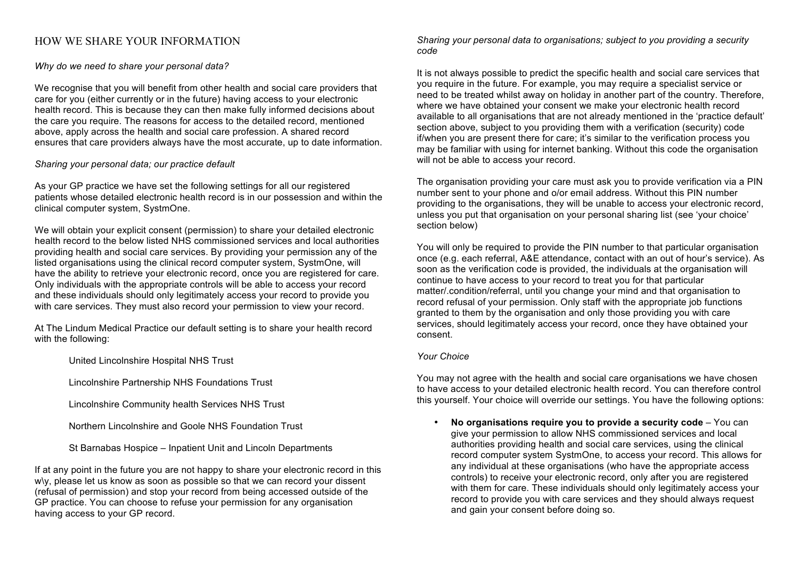## HOW WE SHARE YOUR INFORMATION

*Why do we need to share your personal data?*

We recognise that you will benefit from other health and social care providers that care for you (either currently or in the future) having access to your electronic health record. This is because they can then make fully informed decisions about the care you require. The reasons for access to the detailed record, mentioned above, apply across the health and social care profession. A shared record ensures that care providers always have the most accurate, up to date information.

*Sharing your personal data; our practice default*

As your GP practice we have set the following settings for all our registered patients whose detailed electronic health record is in our possession and within the clinical computer system, SystmOne.

We will obtain your explicit consent (permission) to share your detailed electronic health record to the below listed NHS commissioned services and local authorities providing health and social care services. By providing your permission any of the listed organisations using the clinical record computer system, SystmOne, will have the ability to retrieve your electronic record, once you are registered for care. Only individuals with the appropriate controls will be able to access your record and these individuals should only legitimately access your record to provide you with care services. They must also record your permission to view your record.

At The Lindum Medical Practice our default setting is to share your health record with the following:

United Lincolnshire Hospital NHS Trust

Lincolnshire Partnership NHS Foundations Trust

Lincolnshire Community health Services NHS Trust

Northern Lincolnshire and Goole NHS Foundation Trust

St Barnabas Hospice – Inpatient Unit and Lincoln Departments

If at any point in the future you are not happy to share your electronic record in this w\y, please let us know as soon as possible so that we can record your dissent (refusal of permission) and stop your record from being accessed outside of the GP practice. You can choose to refuse your permission for any organisation having access to your GP record.

*Sharing your personal data to organisations; subject to you providing a security code*

It is not always possible to predict the specific health and social care services that you require in the future. For example, you may require a specialist service or need to be treated whilst away on holiday in another part of the country. Therefore, where we have obtained your consent we make your electronic health record available to all organisations that are not already mentioned in the 'practice default' section above, subject to you providing them with a verification (security) code if/when you are present there for care; it's similar to the verification process you may be familiar with using for internet banking. Without this code the organisation will not be able to access your record.

The organisation providing your care must ask you to provide verification via a PIN number sent to your phone and o/or email address. Without this PIN number providing to the organisations, they will be unable to access your electronic record, unless you put that organisation on your personal sharing list (see 'your choice' section below)

You will only be required to provide the PIN number to that particular organisation once (e.g. each referral, A&E attendance, contact with an out of hour's service). As soon as the verification code is provided, the individuals at the organisation will continue to have access to your record to treat you for that particular matter/.condition/referral, until you change your mind and that organisation to record refusal of your permission. Only staff with the appropriate job functions granted to them by the organisation and only those providing you with care services, should legitimately access your record, once they have obtained your consent.

### *Your Choice*

You may not agree with the health and social care organisations we have chosen to have access to your detailed electronic health record. You can therefore control this yourself. Your choice will override our settings. You have the following options:

• **No organisations require you to provide a security code** – You can give your permission to allow NHS commissioned services and local authorities providing health and social care services, using the clinical record computer system SystmOne, to access your record. This allows for any individual at these organisations (who have the appropriate access controls) to receive your electronic record, only after you are registered with them for care. These individuals should only legitimately access your record to provide you with care services and they should always request and gain your consent before doing so.